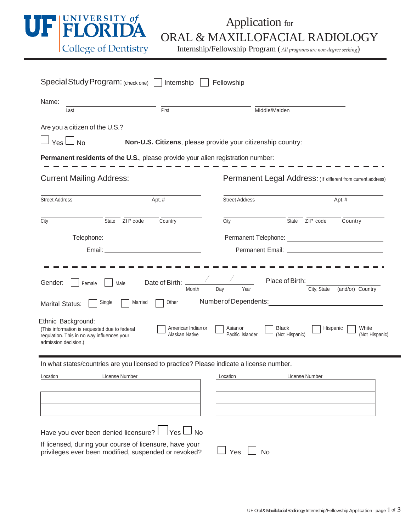

## Application for ORAL & MAXILLOFACIAL RADIOLOGY

Internship/Fellowship Program (*All programs are non-degree seeking*)

| Special Study Program: (check one) Internship                                                                                             |                                                                                  | Fellowship                                                   |                                     |                         |  |
|-------------------------------------------------------------------------------------------------------------------------------------------|----------------------------------------------------------------------------------|--------------------------------------------------------------|-------------------------------------|-------------------------|--|
| Name:<br>Last                                                                                                                             | First                                                                            | Middle/Maiden                                                |                                     |                         |  |
| Are you a citizen of the U.S.?<br>$\Box$ Yes $\Box$ No                                                                                    | Non-U.S. Citizens, please provide your citizenship country: ____________________ |                                                              |                                     |                         |  |
| <b>Permanent residents of the U.S.</b> , please provide your alien registration number: ______________________________                    |                                                                                  |                                                              |                                     |                         |  |
| <b>Current Mailing Address:</b>                                                                                                           |                                                                                  | Permanent Legal Address: (If different from current address) |                                     |                         |  |
| <b>Street Address</b>                                                                                                                     | Apt.#                                                                            | <b>Street Address</b>                                        |                                     | Apt.#                   |  |
| State ZIP code<br>City                                                                                                                    | Country                                                                          | City                                                         | State ZIP code                      | Country                 |  |
|                                                                                                                                           |                                                                                  |                                                              |                                     |                         |  |
|                                                                                                                                           |                                                                                  |                                                              |                                     |                         |  |
| Gender:<br>Female<br>Male                                                                                                                 | Date of Birth:<br>Day<br>Month                                                   | Year                                                         | Place of Birth:<br>City, State      | (and/or) Country        |  |
| Single<br>Married<br><b>Marital Status:</b>                                                                                               | Other                                                                            | Number of Dependents:                                        |                                     |                         |  |
| Ethnic Background:<br>(This information is requested due to federal<br>regulation. This in no way influences your<br>admission decision.) | American Indian or<br>Alaskan Native                                             | Asian or<br>Pacific Islander                                 | Black<br>Hispanic<br>(Not Hispanic) | White<br>(Not Hispanic) |  |

In what states/countries are you licensed to practice? Please indicate a license number.

| Location | License Number | Location | License Number |
|----------|----------------|----------|----------------|
|          |                |          |                |
|          |                |          |                |
|          |                |          |                |
|          |                |          |                |
|          |                |          |                |
|          |                |          |                |
|          |                |          |                |
|          |                |          |                |

Have you ever been denied licensure?  $\Box$  Yes  $\Box$  No

If licensed, during your course of licensure, have your privileges ever been modified, suspended or revoked?  $\Box$  Yes  $\Box$  No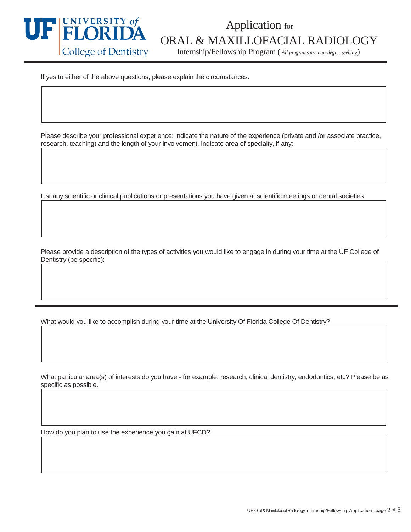

## **COLOGY**<br>College of Dentistry **COLOGY**<br>Internship/Fellowship Program (All programs are non-degree seeking)

Internship/Fellowship Program (*All programs are non-degree seeking*)

If yes to either of the above questions, please explain the circumstances.

Please describe your professional experience; indicate the nature of the experience (private and /or associate practice, research, teaching) and the length of your involvement. Indicate area of specialty, if any:

List any scientific or clinical publications or presentations you have given at scientific meetings or dental societies:

Please provide a description of the types of activities you would like to engage in during your time at the UF College of Dentistry (be specific):

What would you like to accomplish during your time at the University Of Florida College Of Dentistry?

What particular area(s) of interests do you have - for example: research, clinical dentistry, endodontics, etc? Please be as specific as possible.

How do you plan to use the experience you gain at UFCD?